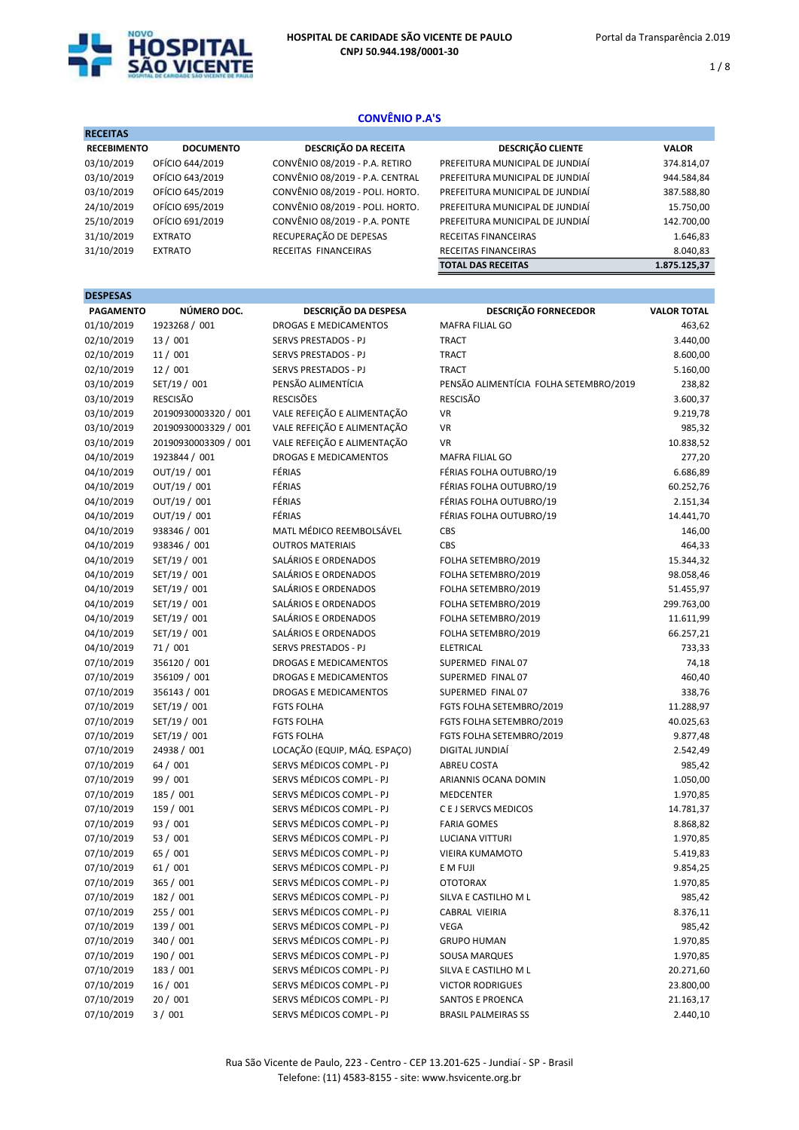

1 / 8

# CONVÊNIO P.A'S

| <b>RECEITAS</b>    |                  |                                 |                                 |              |
|--------------------|------------------|---------------------------------|---------------------------------|--------------|
| <b>RECEBIMENTO</b> | <b>DOCUMENTO</b> | <b>DESCRIÇÃO DA RECEITA</b>     | <b>DESCRIÇÃO CLIENTE</b>        | <b>VALOR</b> |
| 03/10/2019         | OFÍCIO 644/2019  | CONVÊNIO 08/2019 - P.A. RETIRO  | PREFEITURA MUNICIPAL DE JUNDIAÍ | 374.814,07   |
| 03/10/2019         | OFÍCIO 643/2019  | CONVÊNIO 08/2019 - P.A. CENTRAL | PREFEITURA MUNICIPAL DE JUNDIAÍ | 944.584,84   |
| 03/10/2019         | OFÍCIO 645/2019  | CONVÊNIO 08/2019 - POLI. HORTO. | PREFEITURA MUNICIPAL DE JUNDIAÍ | 387.588,80   |
| 24/10/2019         | OFÍCIO 695/2019  | CONVÊNIO 08/2019 - POLI. HORTO. | PREFEITURA MUNICIPAL DE JUNDIAÍ | 15.750,00    |
| 25/10/2019         | OFÍCIO 691/2019  | CONVÊNIO 08/2019 - P.A. PONTE   | PREFEITURA MUNICIPAL DE JUNDIAÍ | 142.700,00   |
| 31/10/2019         | <b>EXTRATO</b>   | RECUPERAÇÃO DE DEPESAS          | RECEITAS FINANCEIRAS            | 1.646,83     |
| 31/10/2019         | <b>EXTRATO</b>   | RECEITAS FINANCEIRAS            | RECEITAS FINANCEIRAS            | 8.040,83     |
|                    |                  |                                 | <b>TOTAL DAS RECEITAS</b>       | 1.875.125.37 |
|                    |                  |                                 |                                 |              |

| <b>DESPESAS</b>  |                      |                              |                                        |                    |
|------------------|----------------------|------------------------------|----------------------------------------|--------------------|
| <b>PAGAMENTO</b> | NÚMERO DOC.          | DESCRIÇÃO DA DESPESA         | <b>DESCRIÇÃO FORNECEDOR</b>            | <b>VALOR TOTAL</b> |
| 01/10/2019       | 1923268 / 001        | <b>DROGAS E MEDICAMENTOS</b> | <b>MAFRA FILIAL GO</b>                 | 463,62             |
| 02/10/2019       | 13 / 001             | SERVS PRESTADOS - PJ         | <b>TRACT</b>                           | 3.440,00           |
| 02/10/2019       | 11/001               | SERVS PRESTADOS - PJ         | <b>TRACT</b>                           | 8.600,00           |
| 02/10/2019       | 12 / 001             | SERVS PRESTADOS - PJ         | <b>TRACT</b>                           | 5.160,00           |
| 03/10/2019       | SET/19 / 001         | PENSÃO ALIMENTÍCIA           | PENSÃO ALIMENTÍCIA FOLHA SETEMBRO/2019 | 238,82             |
| 03/10/2019       | RESCISÃO             | <b>RESCISÕES</b>             | <b>RESCISÃO</b>                        | 3.600,37           |
| 03/10/2019       | 20190930003320 / 001 | VALE REFEIÇÃO E ALIMENTAÇÃO  | <b>VR</b>                              | 9.219,78           |
| 03/10/2019       | 20190930003329 / 001 | VALE REFEIÇÃO E ALIMENTAÇÃO  | <b>VR</b>                              | 985,32             |
| 03/10/2019       | 20190930003309 / 001 | VALE REFEIÇÃO E ALIMENTAÇÃO  | <b>VR</b>                              | 10.838,52          |
| 04/10/2019       | 1923844 / 001        | <b>DROGAS E MEDICAMENTOS</b> | <b>MAFRA FILIAL GO</b>                 | 277,20             |
| 04/10/2019       | OUT/19 / 001         | FÉRIAS                       | FÉRIAS FOLHA OUTUBRO/19                | 6.686,89           |
| 04/10/2019       | OUT/19 / 001         | FÉRIAS                       | FÉRIAS FOLHA OUTUBRO/19                | 60.252,76          |
| 04/10/2019       | OUT/19 / 001         | FÉRIAS                       | FÉRIAS FOLHA OUTUBRO/19                | 2.151,34           |
| 04/10/2019       | OUT/19 / 001         | FÉRIAS                       | FÉRIAS FOLHA OUTUBRO/19                | 14.441,70          |
| 04/10/2019       | 938346 / 001         | MATL MÉDICO REEMBOLSÁVEL     | CBS                                    | 146,00             |
| 04/10/2019       | 938346 / 001         | <b>OUTROS MATERIAIS</b>      | CBS                                    | 464,33             |
| 04/10/2019       | SET/19 / 001         | SALÁRIOS E ORDENADOS         | FOLHA SETEMBRO/2019                    | 15.344,32          |
| 04/10/2019       | SET/19 / 001         | SALÁRIOS E ORDENADOS         | FOLHA SETEMBRO/2019                    | 98.058,46          |
| 04/10/2019       | SET/19 / 001         | SALÁRIOS E ORDENADOS         | FOLHA SETEMBRO/2019                    | 51.455,97          |
| 04/10/2019       | SET/19 / 001         | SALÁRIOS E ORDENADOS         | FOLHA SETEMBRO/2019                    | 299.763,00         |
| 04/10/2019       | SET/19 / 001         | SALÁRIOS E ORDENADOS         | FOLHA SETEMBRO/2019                    | 11.611,99          |
| 04/10/2019       | SET/19 / 001         | SALÁRIOS E ORDENADOS         | FOLHA SETEMBRO/2019                    | 66.257,21          |
| 04/10/2019       | 71/001               | <b>SERVS PRESTADOS - PJ</b>  | <b>ELETRICAL</b>                       | 733,33             |
| 07/10/2019       | 356120 / 001         | <b>DROGAS E MEDICAMENTOS</b> | SUPERMED FINAL 07                      | 74,18              |
| 07/10/2019       | 356109 / 001         | <b>DROGAS E MEDICAMENTOS</b> | SUPERMED FINAL 07                      | 460,40             |
| 07/10/2019       | 356143 / 001         | <b>DROGAS E MEDICAMENTOS</b> | SUPERMED FINAL 07                      | 338,76             |
| 07/10/2019       | SET/19 / 001         | <b>FGTS FOLHA</b>            | FGTS FOLHA SETEMBRO/2019               | 11.288,97          |
| 07/10/2019       | SET/19 / 001         | <b>FGTS FOLHA</b>            | FGTS FOLHA SETEMBRO/2019               | 40.025,63          |
| 07/10/2019       | SET/19 / 001         | <b>FGTS FOLHA</b>            | FGTS FOLHA SETEMBRO/2019               | 9.877,48           |
| 07/10/2019       | 24938 / 001          | LOCAÇÃO (EQUIP, MÁQ. ESPAÇO) | DIGITAL JUNDIAÍ                        | 2.542,49           |
| 07/10/2019       | 64 / 001             | SERVS MÉDICOS COMPL - PJ     | <b>ABREU COSTA</b>                     | 985,42             |
| 07/10/2019       | 99 / 001             | SERVS MÉDICOS COMPL - PJ     | ARIANNIS OCANA DOMIN                   | 1.050,00           |
| 07/10/2019       | 185 / 001            | SERVS MÉDICOS COMPL - PJ     | <b>MEDCENTER</b>                       | 1.970,85           |
| 07/10/2019       | 159 / 001            | SERVS MÉDICOS COMPL - PJ     | C E J SERVCS MEDICOS                   | 14.781,37          |
| 07/10/2019       | 93 / 001             | SERVS MÉDICOS COMPL - PJ     | <b>FARIA GOMES</b>                     | 8.868,82           |
| 07/10/2019       | 53 / 001             | SERVS MÉDICOS COMPL - PJ     | <b>LUCIANA VITTURI</b>                 | 1.970,85           |
| 07/10/2019       | 65 / 001             | SERVS MÉDICOS COMPL - PJ     | <b>VIEIRA KUMAMOTO</b>                 | 5.419,83           |
| 07/10/2019       | 61/001               | SERVS MÉDICOS COMPL - PJ     | E M FUJI                               | 9.854,25           |
| 07/10/2019       | 365 / 001            | SERVS MÉDICOS COMPL - PJ     | <b>OTOTORAX</b>                        | 1.970,85           |
| 07/10/2019       | 182 / 001            | SERVS MÉDICOS COMPL - PJ     | SILVA E CASTILHO M L                   | 985,42             |
| 07/10/2019       | 255 / 001            | SERVS MÉDICOS COMPL - PJ     | CABRAL VIEIRIA                         | 8.376,11           |
| 07/10/2019       | 139 / 001            | SERVS MÉDICOS COMPL - PJ     | VEGA                                   | 985,42             |
| 07/10/2019       | 340 / 001            | SERVS MÉDICOS COMPL - PJ     | <b>GRUPO HUMAN</b>                     | 1.970,85           |
| 07/10/2019       | 190 / 001            | SERVS MÉDICOS COMPL - PJ     | SOUSA MARQUES                          | 1.970,85           |
| 07/10/2019       | 183 / 001            | SERVS MÉDICOS COMPL - PJ     | SILVA E CASTILHO M L                   | 20.271,60          |
| 07/10/2019       | 16 / 001             | SERVS MÉDICOS COMPL - PJ     | <b>VICTOR RODRIGUES</b>                | 23.800,00          |
| 07/10/2019       | 20 / 001             | SERVS MÉDICOS COMPL - PJ     | SANTOS E PROENCA                       | 21.163,17          |
| 07/10/2019       | 3 / 001              | SERVS MÉDICOS COMPL - PJ     | <b>BRASIL PALMEIRAS SS</b>             | 2.440,10           |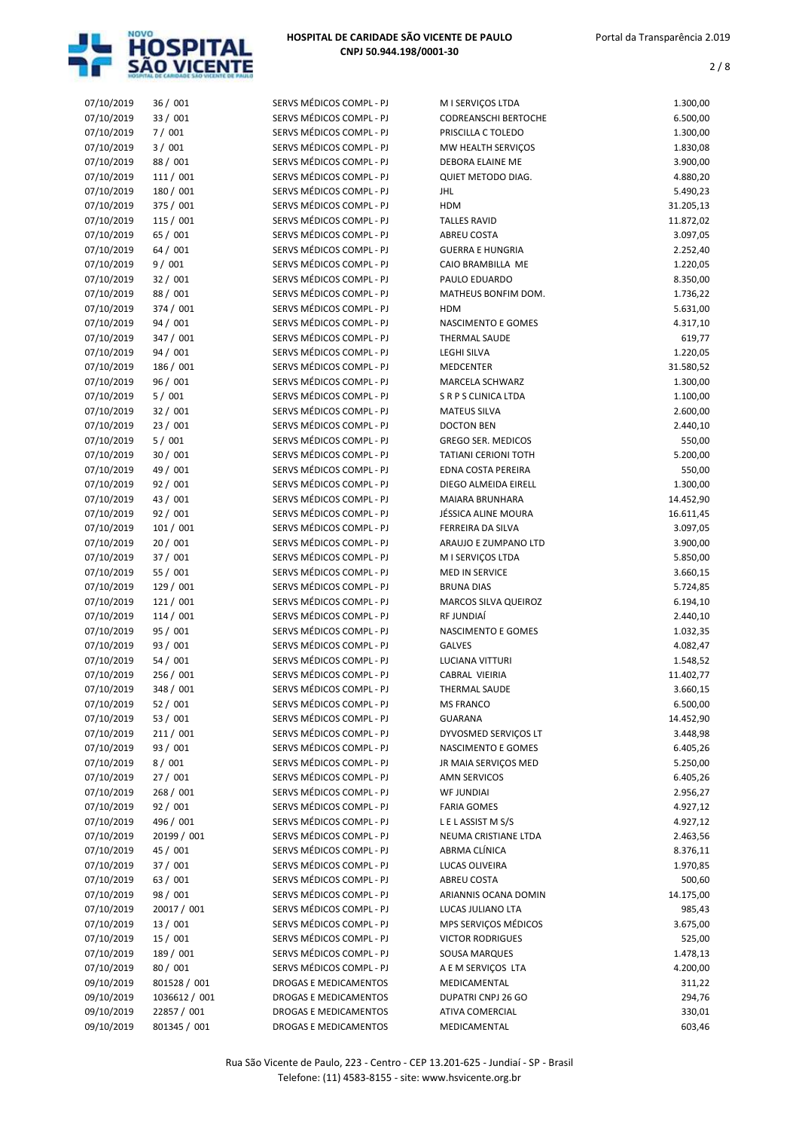

| 07/10/2019 | 36/001        | SERVS MÉDICOS COMPL - PJ | M I SERVIÇOS LTDA           | 1.300,00  |
|------------|---------------|--------------------------|-----------------------------|-----------|
| 07/10/2019 | 33 / 001      | SERVS MÉDICOS COMPL - PJ | <b>CODREANSCHI BERTOCHE</b> | 6.500,00  |
|            |               |                          | PRISCILLA C TOLEDO          |           |
| 07/10/2019 | 7/001         | SERVS MÉDICOS COMPL - PJ |                             | 1.300,00  |
| 07/10/2019 | 3/001         | SERVS MÉDICOS COMPL - PJ | MW HEALTH SERVIÇOS          | 1.830,08  |
| 07/10/2019 | 88 / 001      | SERVS MÉDICOS COMPL - PJ | DEBORA ELAINE ME            | 3.900,00  |
| 07/10/2019 | 111 / 001     | SERVS MÉDICOS COMPL - PJ | QUIET METODO DIAG.          | 4.880,20  |
|            |               |                          |                             |           |
| 07/10/2019 | 180 / 001     | SERVS MÉDICOS COMPL - PJ | JHL                         | 5.490,23  |
| 07/10/2019 | 375 / 001     | SERVS MÉDICOS COMPL - PJ | <b>HDM</b>                  | 31.205,13 |
| 07/10/2019 | 115 / 001     | SERVS MÉDICOS COMPL - PJ | <b>TALLES RAVID</b>         | 11.872,02 |
| 07/10/2019 | 65 / 001      | SERVS MÉDICOS COMPL - PJ | ABREU COSTA                 | 3.097,05  |
|            |               |                          |                             |           |
| 07/10/2019 | 64 / 001      | SERVS MÉDICOS COMPL - PJ | <b>GUERRA E HUNGRIA</b>     | 2.252,40  |
| 07/10/2019 | 9/001         | SERVS MÉDICOS COMPL - PJ | CAIO BRAMBILLA ME           | 1.220,05  |
| 07/10/2019 | 32 / 001      | SERVS MÉDICOS COMPL - PJ | PAULO EDUARDO               | 8.350,00  |
| 07/10/2019 | 88 / 001      | SERVS MÉDICOS COMPL - PJ | MATHEUS BONFIM DOM.         |           |
|            |               |                          |                             | 1.736,22  |
| 07/10/2019 | 374 / 001     | SERVS MÉDICOS COMPL - PJ | <b>HDM</b>                  | 5.631,00  |
| 07/10/2019 | 94 / 001      | SERVS MÉDICOS COMPL - PJ | NASCIMENTO E GOMES          | 4.317,10  |
| 07/10/2019 | 347 / 001     | SERVS MÉDICOS COMPL - PJ | <b>THERMAL SAUDE</b>        | 619,77    |
|            |               |                          |                             |           |
| 07/10/2019 | 94 / 001      | SERVS MÉDICOS COMPL - PJ | <b>LEGHI SILVA</b>          | 1.220,05  |
| 07/10/2019 | 186 / 001     | SERVS MÉDICOS COMPL - PJ | <b>MEDCENTER</b>            | 31.580,52 |
| 07/10/2019 | 96 / 001      | SERVS MÉDICOS COMPL - PJ | MARCELA SCHWARZ             | 1.300,00  |
| 07/10/2019 | 5/001         | SERVS MÉDICOS COMPL - PJ | <b>SRPS CLINICA LTDA</b>    | 1.100,00  |
|            |               |                          |                             |           |
| 07/10/2019 | 32 / 001      | SERVS MÉDICOS COMPL - PJ | <b>MATEUS SILVA</b>         | 2.600,00  |
| 07/10/2019 | 23 / 001      | SERVS MÉDICOS COMPL - PJ | <b>DOCTON BEN</b>           | 2.440,10  |
| 07/10/2019 | 5/001         | SERVS MÉDICOS COMPL - PJ | <b>GREGO SER. MEDICOS</b>   | 550,00    |
|            |               | SERVS MÉDICOS COMPL - PJ |                             |           |
| 07/10/2019 | 30 / 001      |                          | TATIANI CERIONI TOTH        | 5.200,00  |
| 07/10/2019 | 49 / 001      | SERVS MÉDICOS COMPL - PJ | <b>EDNA COSTA PEREIRA</b>   | 550,00    |
| 07/10/2019 | 92 / 001      | SERVS MÉDICOS COMPL - PJ | DIEGO ALMEIDA EIRELL        | 1.300,00  |
| 07/10/2019 | 43 / 001      | SERVS MÉDICOS COMPL - PJ | <b>MAIARA BRUNHARA</b>      | 14.452,90 |
|            |               |                          |                             |           |
| 07/10/2019 | 92 / 001      | SERVS MÉDICOS COMPL - PJ | JÉSSICA ALINE MOURA         | 16.611,45 |
| 07/10/2019 | 101/001       | SERVS MÉDICOS COMPL - PJ | FERREIRA DA SILVA           | 3.097,05  |
| 07/10/2019 | 20 / 001      | SERVS MÉDICOS COMPL - PJ | ARAUJO E ZUMPANO LTD        | 3.900,00  |
| 07/10/2019 | 37 / 001      | SERVS MÉDICOS COMPL - PJ | M I SERVIÇOS LTDA           | 5.850,00  |
|            |               |                          |                             |           |
| 07/10/2019 | 55 / 001      | SERVS MÉDICOS COMPL - PJ | <b>MED IN SERVICE</b>       | 3.660,15  |
| 07/10/2019 | 129 / 001     | SERVS MÉDICOS COMPL - PJ | <b>BRUNA DIAS</b>           | 5.724,85  |
| 07/10/2019 | 121 / 001     | SERVS MÉDICOS COMPL - PJ | MARCOS SILVA QUEIROZ        | 6.194,10  |
|            |               |                          |                             |           |
| 07/10/2019 | 114 / 001     | SERVS MÉDICOS COMPL - PJ | RF JUNDIAÍ                  | 2.440,10  |
| 07/10/2019 | 95 / 001      | SERVS MÉDICOS COMPL - PJ | NASCIMENTO E GOMES          | 1.032,35  |
| 07/10/2019 | 93 / 001      | SERVS MÉDICOS COMPL - PJ | <b>GALVES</b>               | 4.082,47  |
| 07/10/2019 | 54 / 001      | SERVS MÉDICOS COMPL - PJ | <b>LUCIANA VITTURI</b>      | 1.548,52  |
|            |               |                          |                             |           |
| 07/10/2019 | 256 / 001     | SERVS MÉDICOS COMPL - PJ | CABRAL VIEIRIA              | 11.402,77 |
| 07/10/2019 | 348 / 001     | SERVS MÉDICOS COMPL - PJ | THERMAL SAUDE               | 3.660,15  |
| 07/10/2019 | 52 / 001      | SERVS MÉDICOS COMPL - PJ | <b>MS FRANCO</b>            | 6.500,00  |
| 07/10/2019 | 53 / 001      | SERVS MÉDICOS COMPL - PJ | <b>GUARANA</b>              | 14.452,90 |
|            |               |                          |                             |           |
| 07/10/2019 | 211/001       | SERVS MÉDICOS COMPL - PJ | DYVOSMED SERVIÇOS LT        | 3.448,98  |
| 07/10/2019 | 93 / 001      | SERVS MÉDICOS COMPL - PJ | NASCIMENTO E GOMES          | 6.405,26  |
| 07/10/2019 | 8/001         | SERVS MÉDICOS COMPL - PJ | JR MAIA SERVIÇOS MED        | 5.250,00  |
|            |               | SERVS MÉDICOS COMPL - PJ |                             |           |
| 07/10/2019 | 27 / 001      |                          | AMN SERVICOS                | 6.405,26  |
| 07/10/2019 | 268 / 001     | SERVS MÉDICOS COMPL - PJ | <b>WF JUNDIAI</b>           | 2.956,27  |
| 07/10/2019 | 92 / 001      | SERVS MÉDICOS COMPL - PJ | <b>FARIA GOMES</b>          | 4.927,12  |
| 07/10/2019 | 496 / 001     | SERVS MÉDICOS COMPL - PJ | LELASSIST MS/S              | 4.927,12  |
|            |               |                          |                             |           |
| 07/10/2019 | 20199 / 001   | SERVS MÉDICOS COMPL - PJ | NEUMA CRISTIANE LTDA        | 2.463,56  |
| 07/10/2019 | 45 / 001      | SERVS MÉDICOS COMPL - PJ | ABRMA CLÍNICA               | 8.376,11  |
| 07/10/2019 | 37 / 001      | SERVS MÉDICOS COMPL - PJ | LUCAS OLIVEIRA              | 1.970,85  |
| 07/10/2019 | 63 / 001      | SERVS MÉDICOS COMPL - PJ | ABREU COSTA                 | 500,60    |
|            |               |                          |                             |           |
| 07/10/2019 | 98 / 001      | SERVS MÉDICOS COMPL - PJ | ARIANNIS OCANA DOMIN        | 14.175,00 |
| 07/10/2019 | 20017 / 001   | SERVS MÉDICOS COMPL - PJ | LUCAS JULIANO LTA           | 985,43    |
| 07/10/2019 | 13 / 001      | SERVS MÉDICOS COMPL - PJ | MPS SERVIÇOS MÉDICOS        | 3.675,00  |
|            |               |                          |                             |           |
| 07/10/2019 | 15 / 001      | SERVS MÉDICOS COMPL - PJ | <b>VICTOR RODRIGUES</b>     | 525,00    |
| 07/10/2019 | 189 / 001     | SERVS MÉDICOS COMPL - PJ | <b>SOUSA MARQUES</b>        | 1.478,13  |
| 07/10/2019 | 80 / 001      | SERVS MÉDICOS COMPL - PJ | A E M SERVIÇOS LTA          | 4.200,00  |
| 09/10/2019 | 801528 / 001  | DROGAS E MEDICAMENTOS    | MEDICAMENTAL                | 311,22    |
|            |               |                          |                             |           |
| 09/10/2019 | 1036612 / 001 | DROGAS E MEDICAMENTOS    | DUPATRI CNPJ 26 GO          | 294,76    |
| 09/10/2019 | 22857 / 001   | DROGAS E MEDICAMENTOS    | ATIVA COMERCIAL             | 330,01    |
| 09/10/2019 | 801345 / 001  | DROGAS E MEDICAMENTOS    | MEDICAMENTAL                | 603,46    |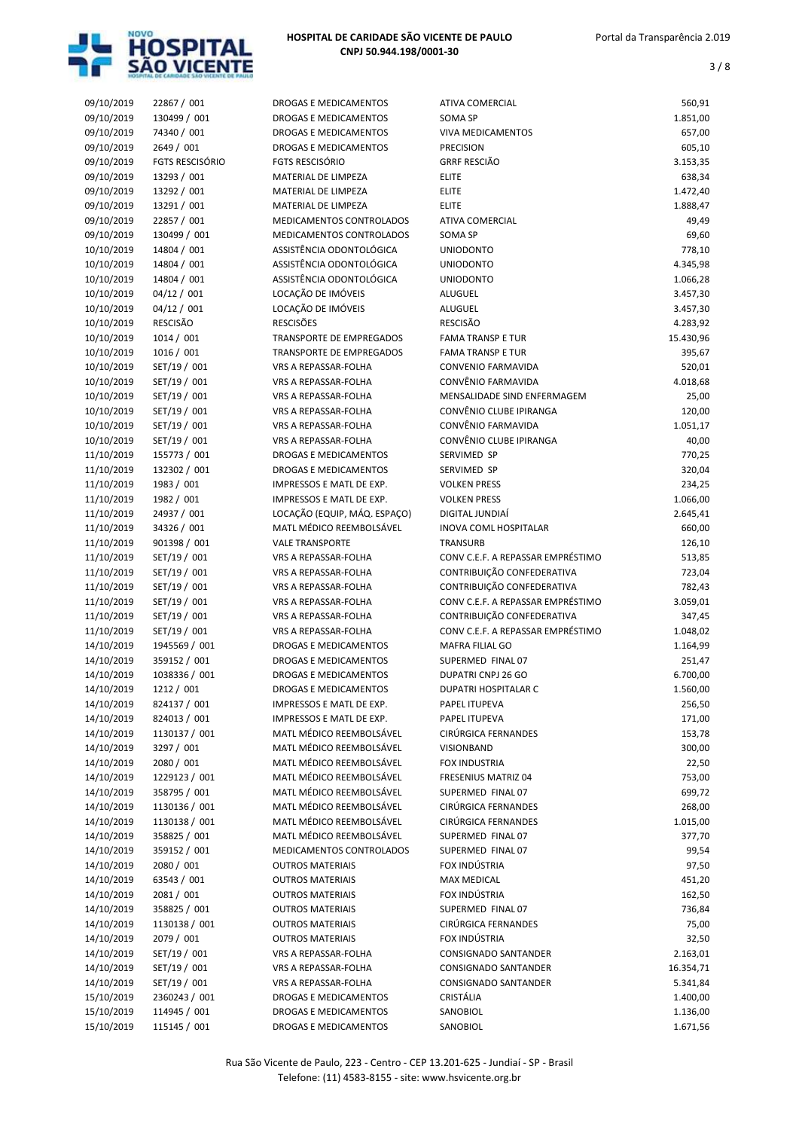

| 09/10/2019 | 22867 / 001            | DROGAS E MEDICAMENTOS        | ATIVA COMERCIAL                   | 560,91    |
|------------|------------------------|------------------------------|-----------------------------------|-----------|
| 09/10/2019 | 130499 / 001           | DROGAS E MEDICAMENTOS        | <b>SOMA SP</b>                    | 1.851,00  |
| 09/10/2019 | 74340 / 001            | <b>DROGAS E MEDICAMENTOS</b> | <b>VIVA MEDICAMENTOS</b>          | 657,00    |
| 09/10/2019 | 2649 / 001             | DROGAS E MEDICAMENTOS        | <b>PRECISION</b>                  | 605,10    |
| 09/10/2019 | <b>FGTS RESCISÓRIO</b> | <b>FGTS RESCISÓRIO</b>       | <b>GRRF RESCIÃO</b>               | 3.153,35  |
| 09/10/2019 | 13293 / 001            | MATERIAL DE LIMPEZA          | <b>ELITE</b>                      | 638,34    |
| 09/10/2019 | 13292 / 001            | MATERIAL DE LIMPEZA          | <b>ELITE</b>                      | 1.472,40  |
| 09/10/2019 | 13291 / 001            | MATERIAL DE LIMPEZA          | <b>ELITE</b>                      | 1.888,47  |
| 09/10/2019 | 22857 / 001            | MEDICAMENTOS CONTROLADOS     | <b>ATIVA COMERCIAL</b>            | 49,49     |
| 09/10/2019 | 130499 / 001           | MEDICAMENTOS CONTROLADOS     | <b>SOMA SP</b>                    | 69,60     |
| 10/10/2019 | 14804 / 001            | ASSISTÊNCIA ODONTOLÓGICA     | <b>UNIODONTO</b>                  | 778,10    |
| 10/10/2019 | 14804 / 001            | ASSISTÊNCIA ODONTOLÓGICA     | <b>UNIODONTO</b>                  | 4.345,98  |
| 10/10/2019 | 14804 / 001            | ASSISTÊNCIA ODONTOLÓGICA     | <b>UNIODONTO</b>                  | 1.066,28  |
| 10/10/2019 | 04/12 / 001            | LOCAÇÃO DE IMÓVEIS           | <b>ALUGUEL</b>                    | 3.457,30  |
| 10/10/2019 | 04/12 / 001            | LOCAÇÃO DE IMÓVEIS           | <b>ALUGUEL</b>                    | 3.457,30  |
| 10/10/2019 | <b>RESCISÃO</b>        | <b>RESCISÕES</b>             | <b>RESCISÃO</b>                   | 4.283,92  |
|            | 1014 / 001             | TRANSPORTE DE EMPREGADOS     | <b>FAMA TRANSP E TUR</b>          |           |
| 10/10/2019 |                        |                              |                                   | 15.430,96 |
| 10/10/2019 | 1016 / 001             | TRANSPORTE DE EMPREGADOS     | <b>FAMA TRANSP E TUR</b>          | 395,67    |
| 10/10/2019 | SET/19 / 001           | VRS A REPASSAR-FOLHA         | CONVENIO FARMAVIDA                | 520,01    |
| 10/10/2019 | SET/19 / 001           | VRS A REPASSAR-FOLHA         | CONVÊNIO FARMAVIDA                | 4.018,68  |
| 10/10/2019 | SET/19 / 001           | VRS A REPASSAR-FOLHA         | MENSALIDADE SIND ENFERMAGEM       | 25,00     |
| 10/10/2019 | SET/19 / 001           | VRS A REPASSAR-FOLHA         | CONVÊNIO CLUBE IPIRANGA           | 120,00    |
| 10/10/2019 | SET/19 / 001           | VRS A REPASSAR-FOLHA         | CONVÊNIO FARMAVIDA                | 1.051,17  |
| 10/10/2019 | SET/19 / 001           | VRS A REPASSAR-FOLHA         | CONVÊNIO CLUBE IPIRANGA           | 40,00     |
| 11/10/2019 | 155773 / 001           | DROGAS E MEDICAMENTOS        | SERVIMED SP                       | 770,25    |
| 11/10/2019 | 132302 / 001           | DROGAS E MEDICAMENTOS        | SERVIMED SP                       | 320,04    |
| 11/10/2019 | 1983 / 001             | IMPRESSOS E MATL DE EXP.     | <b>VOLKEN PRESS</b>               | 234,25    |
| 11/10/2019 | 1982 / 001             | IMPRESSOS E MATL DE EXP.     | <b>VOLKEN PRESS</b>               | 1.066,00  |
| 11/10/2019 | 24937 / 001            | LOCAÇÃO (EQUIP, MÁQ. ESPAÇO) | DIGITAL JUNDIAÍ                   | 2.645,41  |
| 11/10/2019 | 34326 / 001            | MATL MÉDICO REEMBOLSÁVEL     | <b>INOVA COML HOSPITALAR</b>      | 660,00    |
| 11/10/2019 | 901398 / 001           | <b>VALE TRANSPORTE</b>       | <b>TRANSURB</b>                   | 126,10    |
| 11/10/2019 | SET/19 / 001           | VRS A REPASSAR-FOLHA         | CONV C.E.F. A REPASSAR EMPRÉSTIMO | 513,85    |
| 11/10/2019 | SET/19 / 001           | VRS A REPASSAR-FOLHA         | CONTRIBUIÇÃO CONFEDERATIVA        | 723,04    |
| 11/10/2019 | SET/19 / 001           | VRS A REPASSAR-FOLHA         | CONTRIBUIÇÃO CONFEDERATIVA        | 782,43    |
| 11/10/2019 | SET/19 / 001           | VRS A REPASSAR-FOLHA         | CONV C.E.F. A REPASSAR EMPRÉSTIMO | 3.059,01  |
| 11/10/2019 | SET/19 / 001           | <b>VRS A REPASSAR-FOLHA</b>  | CONTRIBUIÇÃO CONFEDERATIVA        | 347,45    |
| 11/10/2019 | SET/19 / 001           | VRS A REPASSAR-FOLHA         | CONV C.E.F. A REPASSAR EMPRÉSTIMO | 1.048,02  |
| 14/10/2019 | 1945569 / 001          | DROGAS E MEDICAMENTOS        | <b>MAFRA FILIAL GO</b>            | 1.164,99  |
| 14/10/2019 | 359152 / 001           | DROGAS E MEDICAMENTOS        | SUPERMED FINAL 07                 | 251,47    |
| 14/10/2019 | 1038336 / 001          | DROGAS E MEDICAMENTOS        | DUPATRI CNPJ 26 GO                | 6.700,00  |
| 14/10/2019 | 1212 / 001             | <b>DROGAS E MEDICAMENTOS</b> | <b>DUPATRI HOSPITALAR C</b>       | 1.560,00  |
| 14/10/2019 | 824137 / 001           | IMPRESSOS E MATL DE EXP.     | PAPEL ITUPEVA                     | 256,50    |
|            | 824013 / 001           |                              |                                   |           |
| 14/10/2019 |                        | IMPRESSOS E MATL DE EXP.     | PAPEL ITUPEVA                     | 171,00    |
| 14/10/2019 | 1130137 / 001          | MATL MÉDICO REEMBOLSÁVEL     | CIRÚRGICA FERNANDES               | 153,78    |
| 14/10/2019 | 3297 / 001             | MATL MÉDICO REEMBOLSÁVEL     | VISIONBAND                        | 300,00    |
| 14/10/2019 | 2080 / 001             | MATL MÉDICO REEMBOLSÁVEL     | FOX INDUSTRIA                     | 22,50     |
| 14/10/2019 | 1229123 / 001          | MATL MÉDICO REEMBOLSÁVEL     | FRESENIUS MATRIZ 04               | 753,00    |
| 14/10/2019 | 358795 / 001           | MATL MÉDICO REEMBOLSÁVEL     | SUPERMED FINAL 07                 | 699,72    |
| 14/10/2019 | 1130136 / 001          | MATL MÉDICO REEMBOLSÁVEL     | CIRÚRGICA FERNANDES               | 268,00    |
| 14/10/2019 | 1130138 / 001          | MATL MÉDICO REEMBOLSÁVEL     | CIRÚRGICA FERNANDES               | 1.015,00  |
| 14/10/2019 | 358825 / 001           | MATL MÉDICO REEMBOLSÁVEL     | SUPERMED FINAL 07                 | 377,70    |
| 14/10/2019 | 359152 / 001           | MEDICAMENTOS CONTROLADOS     | SUPERMED FINAL 07                 | 99,54     |
| 14/10/2019 | 2080 / 001             | <b>OUTROS MATERIAIS</b>      | FOX INDÚSTRIA                     | 97,50     |
| 14/10/2019 | 63543 / 001            | <b>OUTROS MATERIAIS</b>      | MAX MEDICAL                       | 451,20    |
| 14/10/2019 | 2081 / 001             | <b>OUTROS MATERIAIS</b>      | FOX INDÚSTRIA                     | 162,50    |
| 14/10/2019 | 358825 / 001           | <b>OUTROS MATERIAIS</b>      | SUPERMED FINAL 07                 | 736,84    |
| 14/10/2019 | 1130138 / 001          | <b>OUTROS MATERIAIS</b>      | CIRÚRGICA FERNANDES               | 75,00     |
| 14/10/2019 | 2079 / 001             | <b>OUTROS MATERIAIS</b>      | FOX INDÚSTRIA                     | 32,50     |
| 14/10/2019 | SET/19 / 001           | VRS A REPASSAR-FOLHA         | CONSIGNADO SANTANDER              | 2.163,01  |
| 14/10/2019 | SET/19 / 001           | VRS A REPASSAR-FOLHA         | CONSIGNADO SANTANDER              | 16.354,71 |
| 14/10/2019 | SET/19 / 001           | VRS A REPASSAR-FOLHA         | CONSIGNADO SANTANDER              | 5.341,84  |
| 15/10/2019 | 2360243 / 001          | DROGAS E MEDICAMENTOS        | CRISTÁLIA                         | 1.400,00  |
| 15/10/2019 | 114945 / 001           | DROGAS E MEDICAMENTOS        | SANOBIOL                          | 1.136,00  |
| 15/10/2019 | 115145 / 001           | DROGAS E MEDICAMENTOS        | SANOBIOL                          | 1.671,56  |
|            |                        |                              |                                   |           |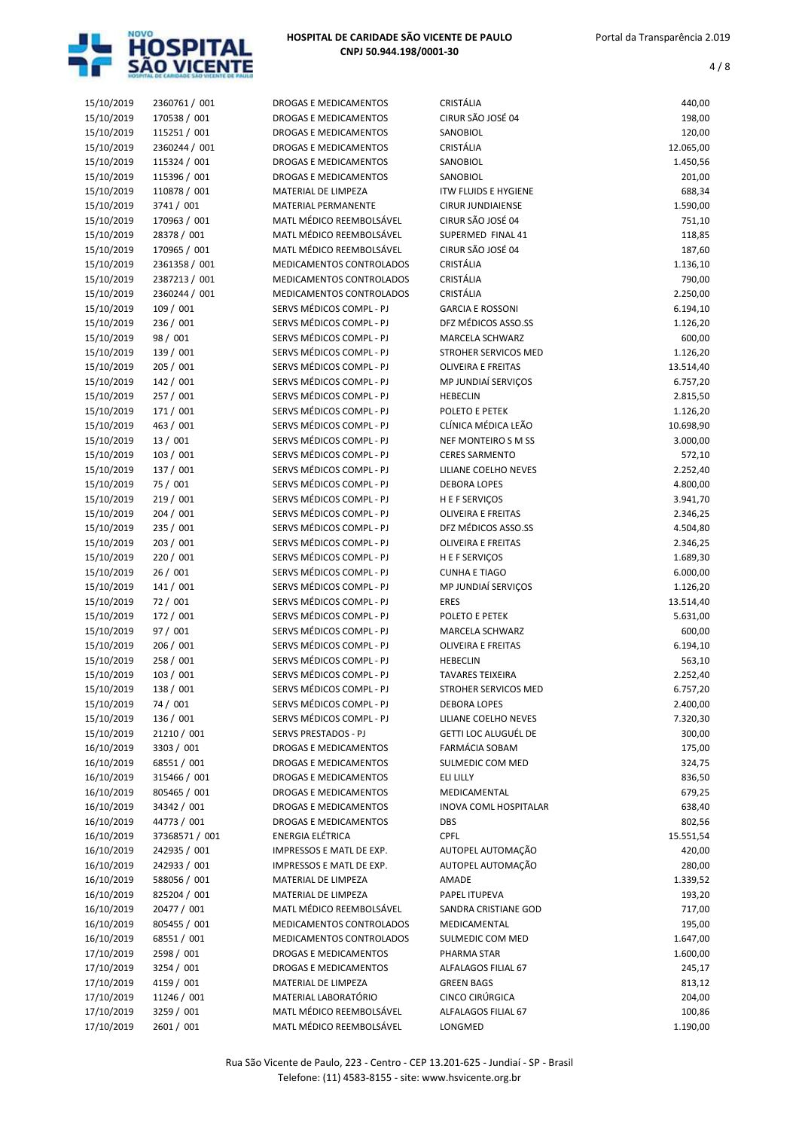

| 15/10/2019 | 2360761 / 001  | DROGAS E MEDICAMENTOS        | CRISTÁLIA                   | 440,00    |
|------------|----------------|------------------------------|-----------------------------|-----------|
| 15/10/2019 | 170538 / 001   | <b>DROGAS E MEDICAMENTOS</b> | CIRUR SÃO JOSÉ 04           | 198,00    |
| 15/10/2019 | 115251 / 001   | DROGAS E MEDICAMENTOS        | SANOBIOL                    | 120,00    |
| 15/10/2019 | 2360244 / 001  | DROGAS E MEDICAMENTOS        | CRISTÁLIA                   | 12.065,00 |
| 15/10/2019 | 115324 / 001   | <b>DROGAS E MEDICAMENTOS</b> | SANOBIOL                    | 1.450,56  |
| 15/10/2019 | 115396 / 001   | <b>DROGAS E MEDICAMENTOS</b> | SANOBIOL                    | 201,00    |
|            |                |                              |                             |           |
| 15/10/2019 | 110878 / 001   | MATERIAL DE LIMPEZA          | <b>ITW FLUIDS E HYGIENE</b> | 688,34    |
| 15/10/2019 | 3741 / 001     | MATERIAL PERMANENTE          | <b>CIRUR JUNDIAIENSE</b>    | 1.590,00  |
| 15/10/2019 | 170963 / 001   | MATL MÉDICO REEMBOLSÁVEL     | CIRUR SÃO JOSÉ 04           | 751,10    |
| 15/10/2019 | 28378 / 001    | MATL MÉDICO REEMBOLSÁVEL     | SUPERMED FINAL 41           | 118,85    |
| 15/10/2019 | 170965 / 001   | MATL MÉDICO REEMBOLSÁVEL     | CIRUR SÃO JOSÉ 04           | 187,60    |
|            |                |                              | CRISTÁLIA                   |           |
| 15/10/2019 | 2361358 / 001  | MEDICAMENTOS CONTROLADOS     |                             | 1.136,10  |
| 15/10/2019 | 2387213 / 001  | MEDICAMENTOS CONTROLADOS     | CRISTÁLIA                   | 790,00    |
| 15/10/2019 | 2360244 / 001  | MEDICAMENTOS CONTROLADOS     | CRISTÁLIA                   | 2.250,00  |
| 15/10/2019 | 109 / 001      | SERVS MÉDICOS COMPL - PJ     | <b>GARCIA E ROSSONI</b>     | 6.194,10  |
| 15/10/2019 | 236 / 001      | SERVS MÉDICOS COMPL - PJ     | DFZ MÉDICOS ASSO.SS         | 1.126,20  |
| 15/10/2019 | 98 / 001       | SERVS MÉDICOS COMPL - PJ     | MARCELA SCHWARZ             | 600,00    |
|            |                |                              |                             |           |
| 15/10/2019 | 139 / 001      | SERVS MÉDICOS COMPL - PJ     | STROHER SERVICOS MED        | 1.126,20  |
| 15/10/2019 | 205 / 001      | SERVS MÉDICOS COMPL - PJ     | <b>OLIVEIRA E FREITAS</b>   | 13.514,40 |
| 15/10/2019 | 142 / 001      | SERVS MÉDICOS COMPL - PJ     | MP JUNDIAÍ SERVIÇOS         | 6.757,20  |
| 15/10/2019 | 257 / 001      | SERVS MÉDICOS COMPL - PJ     | <b>HEBECLIN</b>             | 2.815,50  |
| 15/10/2019 | 171 / 001      | SERVS MÉDICOS COMPL - PJ     | POLETO E PETEK              | 1.126,20  |
|            |                |                              | CLÍNICA MÉDICA LEÃO         |           |
| 15/10/2019 | 463 / 001      | SERVS MÉDICOS COMPL - PJ     |                             | 10.698,90 |
| 15/10/2019 | 13 / 001       | SERVS MÉDICOS COMPL - PJ     | <b>NEF MONTEIRO S M SS</b>  | 3.000,00  |
| 15/10/2019 | 103 / 001      | SERVS MÉDICOS COMPL - PJ     | <b>CERES SARMENTO</b>       | 572,10    |
| 15/10/2019 | 137 / 001      | SERVS MÉDICOS COMPL - PJ     | LILIANE COELHO NEVES        | 2.252,40  |
| 15/10/2019 | 75 / 001       | SERVS MÉDICOS COMPL - PJ     | <b>DEBORA LOPES</b>         | 4.800,00  |
| 15/10/2019 | 219/001        | SERVS MÉDICOS COMPL - PJ     | H E F SERVIÇOS              | 3.941,70  |
|            |                |                              |                             |           |
| 15/10/2019 | 204 / 001      | SERVS MÉDICOS COMPL - PJ     | <b>OLIVEIRA E FREITAS</b>   | 2.346,25  |
| 15/10/2019 | 235 / 001      | SERVS MÉDICOS COMPL - PJ     | DFZ MÉDICOS ASSO.SS         | 4.504,80  |
| 15/10/2019 | 203 / 001      | SERVS MÉDICOS COMPL - PJ     | <b>OLIVEIRA E FREITAS</b>   | 2.346,25  |
| 15/10/2019 | 220 / 001      | SERVS MÉDICOS COMPL - PJ     | H E F SERVIÇOS              | 1.689,30  |
| 15/10/2019 | 26/001         | SERVS MÉDICOS COMPL - PJ     | <b>CUNHA E TIAGO</b>        | 6.000,00  |
| 15/10/2019 | 141 / 001      | SERVS MÉDICOS COMPL - PJ     | MP JUNDIAÍ SERVIÇOS         | 1.126,20  |
|            |                |                              |                             |           |
| 15/10/2019 | 72 / 001       | SERVS MÉDICOS COMPL - PJ     | <b>ERES</b>                 | 13.514,40 |
| 15/10/2019 | 172 / 001      | SERVS MÉDICOS COMPL - PJ     | POLETO E PETEK              | 5.631,00  |
| 15/10/2019 | 97 / 001       | SERVS MÉDICOS COMPL - PJ     | MARCELA SCHWARZ             | 600,00    |
| 15/10/2019 | 206 / 001      | SERVS MÉDICOS COMPL - PJ     | <b>OLIVEIRA E FREITAS</b>   | 6.194,10  |
| 15/10/2019 | 258 / 001      | SERVS MÉDICOS COMPL - PJ     | <b>HEBECLIN</b>             | 563,10    |
| 15/10/2019 | 103 / 001      | SERVS MÉDICOS COMPL - PJ     | <b>TAVARES TEIXEIRA</b>     | 2.252,40  |
|            |                |                              |                             |           |
| 15/10/2019 | 138 / 001      | SERVS MÉDICOS COMPL - PJ     | STROHER SERVICOS MED        | 6.757,20  |
| 15/10/2019 | 74 / 001       | SERVS MÉDICOS COMPL - PJ     | <b>DEBORA LOPES</b>         | 2.400,00  |
| 15/10/2019 | 136 / 001      | SERVS MÉDICOS COMPL - PJ     | LILIANE COELHO NEVES        | 7.320,30  |
| 15/10/2019 | 21210 / 001    | SERVS PRESTADOS - PJ         | GETTI LOC ALUGUÉL DE        | 300,00    |
| 16/10/2019 | 3303 / 001     | DROGAS E MEDICAMENTOS        | <b>FARMÁCIA SOBAM</b>       | 175,00    |
| 16/10/2019 | 68551 / 001    | <b>DROGAS E MEDICAMENTOS</b> | SULMEDIC COM MED            | 324,75    |
|            |                |                              |                             |           |
| 16/10/2019 | 315466 / 001   | DROGAS E MEDICAMENTOS        | ELI LILLY                   | 836,50    |
| 16/10/2019 | 805465 / 001   | DROGAS E MEDICAMENTOS        | MEDICAMENTAL                | 679,25    |
| 16/10/2019 | 34342 / 001    | DROGAS E MEDICAMENTOS        | INOVA COML HOSPITALAR       | 638,40    |
| 16/10/2019 | 44773 / 001    | DROGAS E MEDICAMENTOS        | DBS                         | 802,56    |
| 16/10/2019 | 37368571 / 001 | <b>ENERGIA ELÉTRICA</b>      | CPFL                        | 15.551,54 |
|            | 242935 / 001   |                              | AUTOPEL AUTOMAÇÃO           |           |
| 16/10/2019 |                | IMPRESSOS E MATL DE EXP.     |                             | 420,00    |
| 16/10/2019 | 242933 / 001   | IMPRESSOS E MATL DE EXP.     | AUTOPEL AUTOMAÇÃO           | 280,00    |
| 16/10/2019 | 588056 / 001   | MATERIAL DE LIMPEZA          | AMADE                       | 1.339,52  |
| 16/10/2019 | 825204 / 001   | MATERIAL DE LIMPEZA          | PAPEL ITUPEVA               | 193,20    |
| 16/10/2019 | 20477 / 001    | MATL MÉDICO REEMBOLSÁVEL     | SANDRA CRISTIANE GOD        | 717,00    |
| 16/10/2019 | 805455 / 001   | MEDICAMENTOS CONTROLADOS     | MEDICAMENTAL                | 195,00    |
|            |                |                              |                             |           |
| 16/10/2019 | 68551 / 001    | MEDICAMENTOS CONTROLADOS     | SULMEDIC COM MED            | 1.647,00  |
| 17/10/2019 | 2598 / 001     | DROGAS E MEDICAMENTOS        | PHARMA STAR                 | 1.600,00  |
| 17/10/2019 | 3254 / 001     | DROGAS E MEDICAMENTOS        | ALFALAGOS FILIAL 67         | 245,17    |
| 17/10/2019 | 4159 / 001     | MATERIAL DE LIMPEZA          | <b>GREEN BAGS</b>           | 813,12    |
| 17/10/2019 | 11246 / 001    | MATERIAL LABORATÓRIO         | CINCO CIRÚRGICA             | 204,00    |
| 17/10/2019 | 3259 / 001     | MATL MÉDICO REEMBOLSÁVEL     | ALFALAGOS FILIAL 67         | 100,86    |
|            | 2601 / 001     | MATL MÉDICO REEMBOLSÁVEL     |                             |           |
| 17/10/2019 |                |                              | LONGMED                     | 1.190,00  |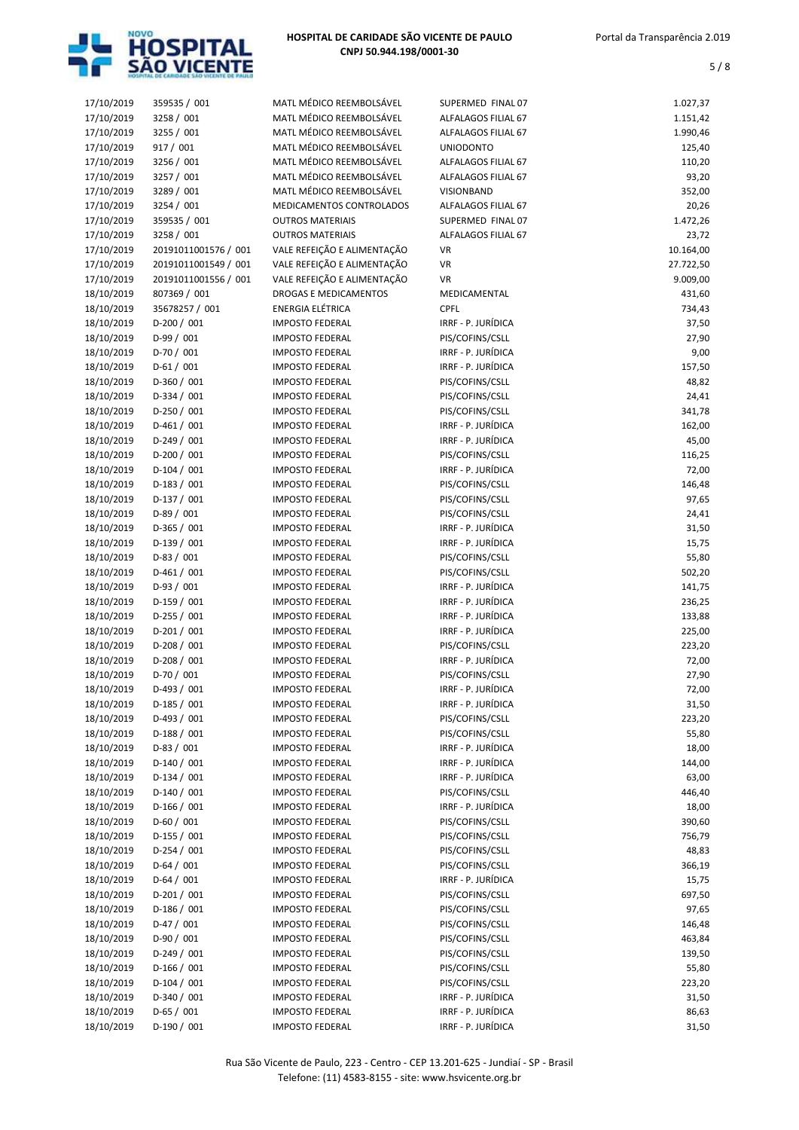

| 17/10/2019 | 359535 / 001         | MATL MÉDICO REEMBOLSÁVEL    | SUPERMED FINAL 07   | 1.027,37  |
|------------|----------------------|-----------------------------|---------------------|-----------|
| 17/10/2019 | 3258 / 001           | MATL MÉDICO REEMBOLSÁVEL    | ALFALAGOS FILIAL 67 | 1.151,42  |
| 17/10/2019 | 3255 / 001           | MATL MÉDICO REEMBOLSÁVEL    | ALFALAGOS FILIAL 67 | 1.990,46  |
| 17/10/2019 | 917 / 001            | MATL MÉDICO REEMBOLSÁVEL    | <b>UNIODONTO</b>    | 125,40    |
| 17/10/2019 | 3256 / 001           | MATL MÉDICO REEMBOLSÁVEL    | ALFALAGOS FILIAL 67 | 110,20    |
| 17/10/2019 | 3257 / 001           | MATL MÉDICO REEMBOLSÁVEL    | ALFALAGOS FILIAL 67 | 93,20     |
| 17/10/2019 | 3289 / 001           | MATL MÉDICO REEMBOLSÁVEL    | VISIONBAND          | 352,00    |
| 17/10/2019 | 3254 / 001           | MEDICAMENTOS CONTROLADOS    | ALFALAGOS FILIAL 67 | 20,26     |
| 17/10/2019 | 359535 / 001         | <b>OUTROS MATERIAIS</b>     | SUPERMED FINAL 07   | 1.472,26  |
| 17/10/2019 | 3258 / 001           | <b>OUTROS MATERIAIS</b>     | ALFALAGOS FILIAL 67 | 23,72     |
| 17/10/2019 | 20191011001576 / 001 | VALE REFEIÇÃO E ALIMENTAÇÃO | VR                  | 10.164,00 |
| 17/10/2019 | 20191011001549 / 001 | VALE REFEIÇÃO E ALIMENTAÇÃO | VR                  | 27.722,50 |
| 17/10/2019 | 20191011001556 / 001 | VALE REFEIÇÃO E ALIMENTAÇÃO | <b>VR</b>           | 9.009,00  |
| 18/10/2019 | 807369 / 001         | DROGAS E MEDICAMENTOS       | MEDICAMENTAL        | 431,60    |
| 18/10/2019 | 35678257 / 001       | ENERGIA ELÉTRICA            | <b>CPFL</b>         | 734,43    |
| 18/10/2019 | $D-200 / 001$        | <b>IMPOSTO FEDERAL</b>      | IRRF - P. JURÍDICA  | 37,50     |
| 18/10/2019 | $D-99/001$           | <b>IMPOSTO FEDERAL</b>      | PIS/COFINS/CSLL     | 27,90     |
| 18/10/2019 | $D-70/001$           | <b>IMPOSTO FEDERAL</b>      | IRRF - P. JURÍDICA  | 9,00      |
| 18/10/2019 | $D-61/001$           | <b>IMPOSTO FEDERAL</b>      | IRRF - P. JURÍDICA  | 157,50    |
| 18/10/2019 | $D-360/001$          | <b>IMPOSTO FEDERAL</b>      | PIS/COFINS/CSLL     | 48,82     |
| 18/10/2019 | $D-334 / 001$        | <b>IMPOSTO FEDERAL</b>      | PIS/COFINS/CSLL     | 24,41     |
| 18/10/2019 | $D-250/001$          | <b>IMPOSTO FEDERAL</b>      | PIS/COFINS/CSLL     | 341,78    |
| 18/10/2019 | $D-461/001$          | <b>IMPOSTO FEDERAL</b>      | IRRF - P. JURÍDICA  | 162,00    |
| 18/10/2019 | D-249 / 001          | <b>IMPOSTO FEDERAL</b>      | IRRF - P. JURÍDICA  | 45,00     |
| 18/10/2019 | $D-200 / 001$        | <b>IMPOSTO FEDERAL</b>      | PIS/COFINS/CSLL     | 116,25    |
| 18/10/2019 | $D-104 / 001$        | <b>IMPOSTO FEDERAL</b>      | IRRF - P. JURÍDICA  | 72,00     |
| 18/10/2019 | $D-183 / 001$        | <b>IMPOSTO FEDERAL</b>      | PIS/COFINS/CSLL     | 146,48    |
| 18/10/2019 | $D-137/001$          | <b>IMPOSTO FEDERAL</b>      | PIS/COFINS/CSLL     | 97,65     |
| 18/10/2019 | $D-89/001$           | <b>IMPOSTO FEDERAL</b>      | PIS/COFINS/CSLL     | 24,41     |
| 18/10/2019 | $D-365 / 001$        | <b>IMPOSTO FEDERAL</b>      | IRRF - P. JURÍDICA  | 31,50     |
| 18/10/2019 | $D-139/001$          | <b>IMPOSTO FEDERAL</b>      | IRRF - P. JURÍDICA  | 15,75     |
| 18/10/2019 | $D-83 / 001$         | <b>IMPOSTO FEDERAL</b>      | PIS/COFINS/CSLL     | 55,80     |
| 18/10/2019 | $D-461/001$          | <b>IMPOSTO FEDERAL</b>      | PIS/COFINS/CSLL     | 502,20    |
| 18/10/2019 | $D-93/001$           | <b>IMPOSTO FEDERAL</b>      | IRRF - P. JURÍDICA  | 141,75    |
| 18/10/2019 | $D-159/001$          | <b>IMPOSTO FEDERAL</b>      | IRRF - P. JURÍDICA  | 236,25    |
| 18/10/2019 | $D-255 / 001$        | <b>IMPOSTO FEDERAL</b>      | IRRF - P. JURÍDICA  | 133,88    |
| 18/10/2019 | $D-201/001$          | <b>IMPOSTO FEDERAL</b>      | IRRF - P. JURÍDICA  | 225,00    |
| 18/10/2019 | D-208 / 001          | <b>IMPOSTO FEDERAL</b>      | PIS/COFINS/CSLL     | 223,20    |
| 18/10/2019 | $D-208/001$          | <b>IMPOSTO FEDERAL</b>      | IRRF - P. JURÍDICA  | 72,00     |
| 18/10/2019 | $D-70/001$           | <b>IMPOSTO FEDERAL</b>      | PIS/COFINS/CSLL     | 27,90     |
| 18/10/2019 | $D-493 / 001$        | <b>IMPOSTO FEDERAL</b>      | IRRF - P. JURÍDICA  | 72,00     |
| 18/10/2019 | $D-185/001$          | <b>IMPOSTO FEDERAL</b>      | IRRF - P. JURÍDICA  | 31,50     |
| 18/10/2019 | $D-493 / 001$        | <b>IMPOSTO FEDERAL</b>      | PIS/COFINS/CSLL     | 223,20    |
| 18/10/2019 | $D-188/001$          | <b>IMPOSTO FEDERAL</b>      | PIS/COFINS/CSLL     | 55,80     |
| 18/10/2019 | $D-83 / 001$         | <b>IMPOSTO FEDERAL</b>      | IRRF - P. JURÍDICA  | 18,00     |
| 18/10/2019 | $D-140/001$          | <b>IMPOSTO FEDERAL</b>      | IRRF - P. JURÍDICA  | 144,00    |
| 18/10/2019 | $D-134 / 001$        | <b>IMPOSTO FEDERAL</b>      | IRRF - P. JURÍDICA  | 63,00     |
| 18/10/2019 | $D-140/001$          | <b>IMPOSTO FEDERAL</b>      | PIS/COFINS/CSLL     | 446,40    |
| 18/10/2019 | $D-166/001$          | <b>IMPOSTO FEDERAL</b>      | IRRF - P. JURÍDICA  | 18,00     |
| 18/10/2019 | $D-60/001$           | <b>IMPOSTO FEDERAL</b>      | PIS/COFINS/CSLL     | 390,60    |
| 18/10/2019 | $D-155/001$          | <b>IMPOSTO FEDERAL</b>      | PIS/COFINS/CSLL     | 756,79    |
| 18/10/2019 | $D-254/001$          | <b>IMPOSTO FEDERAL</b>      | PIS/COFINS/CSLL     | 48,83     |
| 18/10/2019 | $D-64/001$           | <b>IMPOSTO FEDERAL</b>      | PIS/COFINS/CSLL     | 366,19    |
| 18/10/2019 | $D-64/001$           | <b>IMPOSTO FEDERAL</b>      | IRRF - P. JURÍDICA  | 15,75     |
| 18/10/2019 | $D-201/001$          | <b>IMPOSTO FEDERAL</b>      | PIS/COFINS/CSLL     | 697,50    |
| 18/10/2019 | $D-186 / 001$        | <b>IMPOSTO FEDERAL</b>      | PIS/COFINS/CSLL     | 97,65     |
| 18/10/2019 | $D-47/001$           | <b>IMPOSTO FEDERAL</b>      | PIS/COFINS/CSLL     | 146,48    |
| 18/10/2019 | $D-90/001$           | <b>IMPOSTO FEDERAL</b>      | PIS/COFINS/CSLL     | 463,84    |
| 18/10/2019 | $D-249/001$          | <b>IMPOSTO FEDERAL</b>      | PIS/COFINS/CSLL     | 139,50    |
| 18/10/2019 | $D-166/001$          | <b>IMPOSTO FEDERAL</b>      | PIS/COFINS/CSLL     | 55,80     |
| 18/10/2019 | $D-104 / 001$        | <b>IMPOSTO FEDERAL</b>      | PIS/COFINS/CSLL     | 223,20    |
| 18/10/2019 | $D-340 / 001$        | <b>IMPOSTO FEDERAL</b>      | IRRF - P. JURÍDICA  | 31,50     |
| 18/10/2019 | $D-65/001$           | <b>IMPOSTO FEDERAL</b>      | IRRF - P. JURÍDICA  | 86,63     |
| 18/10/2019 | $D-190/001$          | <b>IMPOSTO FEDERAL</b>      | IRRF - P. JURÍDICA  | 31,50     |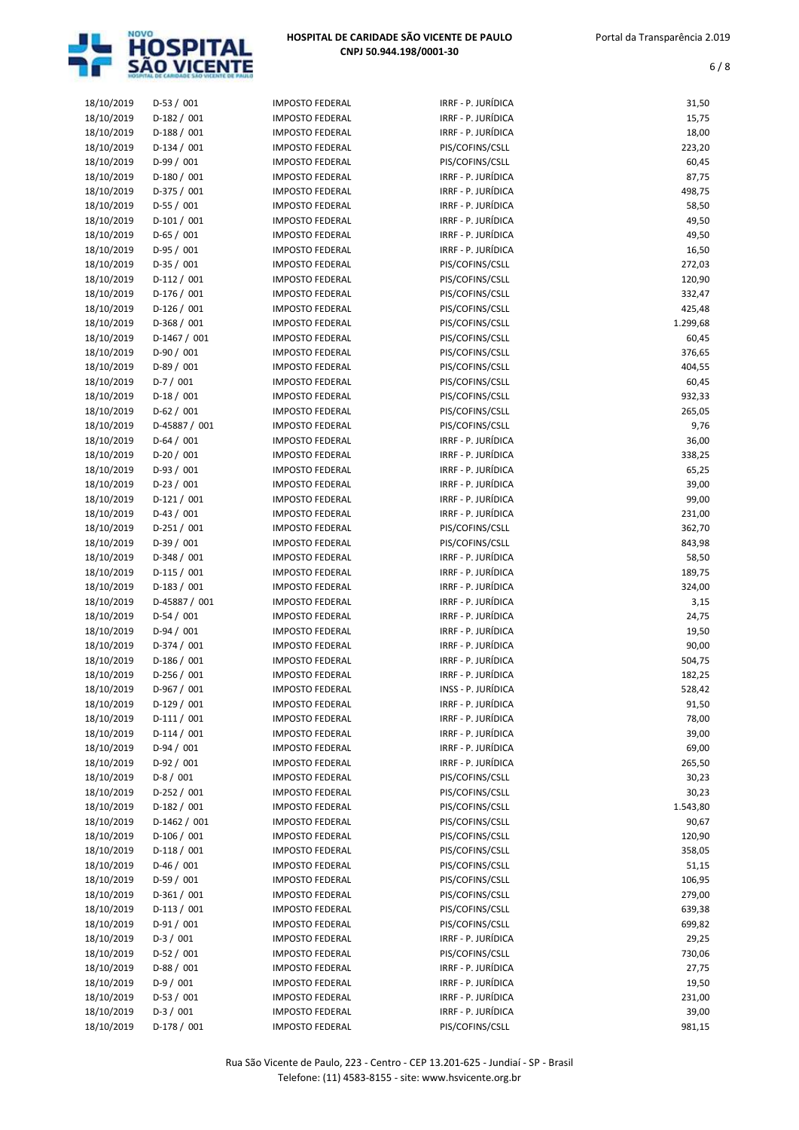

| 18/10/2019               | $D-53 / 001$   | <b>IMPOSTO FEDERAL</b> | IRRF - P. JURÍDICA | 31,50    |
|--------------------------|----------------|------------------------|--------------------|----------|
| 18/10/2019               | $D-182/001$    | <b>IMPOSTO FEDERAL</b> | IRRF - P. JURÍDICA | 15,75    |
| 18/10/2019               | $D-188/001$    | <b>IMPOSTO FEDERAL</b> | IRRF - P. JURÍDICA | 18,00    |
| 18/10/2019               | $D-134 / 001$  | <b>IMPOSTO FEDERAL</b> | PIS/COFINS/CSLL    | 223,20   |
| 18/10/2019               | $D-99/001$     | <b>IMPOSTO FEDERAL</b> | PIS/COFINS/CSLL    | 60,45    |
| 18/10/2019               | $D-180/001$    | <b>IMPOSTO FEDERAL</b> | IRRF - P. JURÍDICA | 87,75    |
| 18/10/2019               | $D-375/001$    | <b>IMPOSTO FEDERAL</b> | IRRF - P. JURÍDICA | 498,75   |
| 18/10/2019               | D-55 / 001     | <b>IMPOSTO FEDERAL</b> | IRRF - P. JURÍDICA | 58,50    |
| 18/10/2019               | $D-101/001$    | <b>IMPOSTO FEDERAL</b> | IRRF - P. JURÍDICA | 49,50    |
| 18/10/2019               | $D-65/001$     | <b>IMPOSTO FEDERAL</b> | IRRF - P. JURÍDICA | 49,50    |
| 18/10/2019               | $D-95/001$     | <b>IMPOSTO FEDERAL</b> | IRRF - P. JURÍDICA | 16,50    |
| 18/10/2019               | $D-35/001$     | <b>IMPOSTO FEDERAL</b> | PIS/COFINS/CSLL    | 272,03   |
|                          |                | <b>IMPOSTO FEDERAL</b> | PIS/COFINS/CSLL    |          |
| 18/10/2019               | $D-112 / 001$  |                        |                    | 120,90   |
| 18/10/2019               | $D-176/001$    | <b>IMPOSTO FEDERAL</b> | PIS/COFINS/CSLL    | 332,47   |
| 18/10/2019               | $D-126/001$    | <b>IMPOSTO FEDERAL</b> | PIS/COFINS/CSLL    | 425,48   |
| 18/10/2019               | $D-368/001$    | <b>IMPOSTO FEDERAL</b> | PIS/COFINS/CSLL    | 1.299,68 |
| 18/10/2019               | $D-1467/001$   | <b>IMPOSTO FEDERAL</b> | PIS/COFINS/CSLL    | 60,45    |
| 18/10/2019               | $D-90/001$     | <b>IMPOSTO FEDERAL</b> | PIS/COFINS/CSLL    | 376,65   |
| 18/10/2019               | $D-89/001$     | <b>IMPOSTO FEDERAL</b> | PIS/COFINS/CSLL    | 404,55   |
| 18/10/2019               | $D-7/001$      | <b>IMPOSTO FEDERAL</b> | PIS/COFINS/CSLL    | 60,45    |
| 18/10/2019               | $D-18/001$     | <b>IMPOSTO FEDERAL</b> | PIS/COFINS/CSLL    | 932,33   |
| 18/10/2019               | $D-62/001$     | <b>IMPOSTO FEDERAL</b> | PIS/COFINS/CSLL    | 265,05   |
| 18/10/2019               | D-45887 / 001  | <b>IMPOSTO FEDERAL</b> | PIS/COFINS/CSLL    | 9,76     |
| 18/10/2019               | $D-64/001$     | <b>IMPOSTO FEDERAL</b> | IRRF - P. JURÍDICA | 36,00    |
| 18/10/2019               | $D-20/001$     | <b>IMPOSTO FEDERAL</b> | IRRF - P. JURÍDICA | 338,25   |
| 18/10/2019               | $D-93/001$     | <b>IMPOSTO FEDERAL</b> | IRRF - P. JURÍDICA | 65,25    |
| 18/10/2019               | $D-23/001$     | <b>IMPOSTO FEDERAL</b> | IRRF - P. JURÍDICA | 39,00    |
| 18/10/2019               | $D-121/001$    | <b>IMPOSTO FEDERAL</b> | IRRF - P. JURÍDICA | 99,00    |
| 18/10/2019               | $D-43 / 001$   | <b>IMPOSTO FEDERAL</b> | IRRF - P. JURÍDICA | 231,00   |
| 18/10/2019               | $D-251/001$    | <b>IMPOSTO FEDERAL</b> | PIS/COFINS/CSLL    | 362,70   |
| 18/10/2019               | $D-39/001$     | <b>IMPOSTO FEDERAL</b> | PIS/COFINS/CSLL    | 843,98   |
| 18/10/2019               | $D-348 / 001$  | <b>IMPOSTO FEDERAL</b> | IRRF - P. JURÍDICA | 58,50    |
| 18/10/2019               | $D-115/001$    | <b>IMPOSTO FEDERAL</b> | IRRF - P. JURÍDICA | 189,75   |
| 18/10/2019               | $D-183 / 001$  | <b>IMPOSTO FEDERAL</b> | IRRF - P. JURÍDICA | 324,00   |
| 18/10/2019               | D-45887 / 001  | <b>IMPOSTO FEDERAL</b> | IRRF - P. JURÍDICA | 3,15     |
| 18/10/2019               | $D-54/001$     | <b>IMPOSTO FEDERAL</b> | IRRF - P. JURÍDICA | 24,75    |
| 18/10/2019               | $D-94/001$     | <b>IMPOSTO FEDERAL</b> | IRRF - P. JURÍDICA | 19,50    |
| 18/10/2019               | $D-374/001$    | <b>IMPOSTO FEDERAL</b> | IRRF - P. JURÍDICA | 90,00    |
|                          | $D-186 / 001$  | <b>IMPOSTO FEDERAL</b> | IRRF - P. JURÍDICA | 504,75   |
| 18/10/2019<br>18/10/2019 | $D-256 / 001$  |                        | IRRF - P. JURÍDICA | 182,25   |
|                          |                | <b>IMPOSTO FEDERAL</b> |                    |          |
| 18/10/2019               | D-967 / 001    | <b>IMPOSTO FEDERAL</b> | INSS - P. JURÍDICA | 528,42   |
| 18/10/2019               | $D-129/001$    | <b>IMPOSTO FEDERAL</b> | IRRF - P. JURÍDICA | 91,50    |
| 18/10/2019               | $D-111/001$    | <b>IMPOSTO FEDERAL</b> | IRRF - P. JURÍDICA | 78,00    |
| 18/10/2019               | $D-114/001$    | <b>IMPOSTO FEDERAL</b> | IRRF - P. JURÍDICA | 39,00    |
| 18/10/2019               | $D-94/001$     | <b>IMPOSTO FEDERAL</b> | IRRF - P. JURÍDICA | 69,00    |
| 18/10/2019               | $D-92/001$     | <b>IMPOSTO FEDERAL</b> | IRRF - P. JURÍDICA | 265,50   |
| 18/10/2019               | $D-8/001$      | <b>IMPOSTO FEDERAL</b> | PIS/COFINS/CSLL    | 30,23    |
| 18/10/2019               | $D-252 / 001$  | <b>IMPOSTO FEDERAL</b> | PIS/COFINS/CSLL    | 30,23    |
| 18/10/2019               | $D-182 / 001$  | <b>IMPOSTO FEDERAL</b> | PIS/COFINS/CSLL    | 1.543,80 |
| 18/10/2019               | $D-1462 / 001$ | <b>IMPOSTO FEDERAL</b> | PIS/COFINS/CSLL    | 90,67    |
| 18/10/2019               | D-106 / 001    | <b>IMPOSTO FEDERAL</b> | PIS/COFINS/CSLL    | 120,90   |
| 18/10/2019               | $D-118/001$    | <b>IMPOSTO FEDERAL</b> | PIS/COFINS/CSLL    | 358,05   |
| 18/10/2019               | $D-46/001$     | <b>IMPOSTO FEDERAL</b> | PIS/COFINS/CSLL    | 51,15    |
| 18/10/2019               | D-59 / 001     | <b>IMPOSTO FEDERAL</b> | PIS/COFINS/CSLL    | 106,95   |
| 18/10/2019               | $D-361/001$    | <b>IMPOSTO FEDERAL</b> | PIS/COFINS/CSLL    | 279,00   |
| 18/10/2019               | $D-113 / 001$  | <b>IMPOSTO FEDERAL</b> | PIS/COFINS/CSLL    | 639,38   |
| 18/10/2019               | $D-91/001$     | <b>IMPOSTO FEDERAL</b> | PIS/COFINS/CSLL    | 699,82   |
| 18/10/2019               | $D-3/001$      | <b>IMPOSTO FEDERAL</b> | IRRF - P. JURÍDICA | 29,25    |
| 18/10/2019               | $D-52/001$     | <b>IMPOSTO FEDERAL</b> | PIS/COFINS/CSLL    | 730,06   |
| 18/10/2019               | $D-88/001$     | <b>IMPOSTO FEDERAL</b> | IRRF - P. JURÍDICA | 27,75    |
| 18/10/2019               | $D-9/001$      | <b>IMPOSTO FEDERAL</b> | IRRF - P. JURÍDICA | 19,50    |
| 18/10/2019               | $D-53 / 001$   | <b>IMPOSTO FEDERAL</b> | IRRF - P. JURÍDICA | 231,00   |
| 18/10/2019               | $D-3/001$      | <b>IMPOSTO FEDERAL</b> | IRRF - P. JURÍDICA | 39,00    |
|                          |                |                        |                    |          |
| 18/10/2019               | $D-178/001$    | <b>IMPOSTO FEDERAL</b> | PIS/COFINS/CSLL    | 981,15   |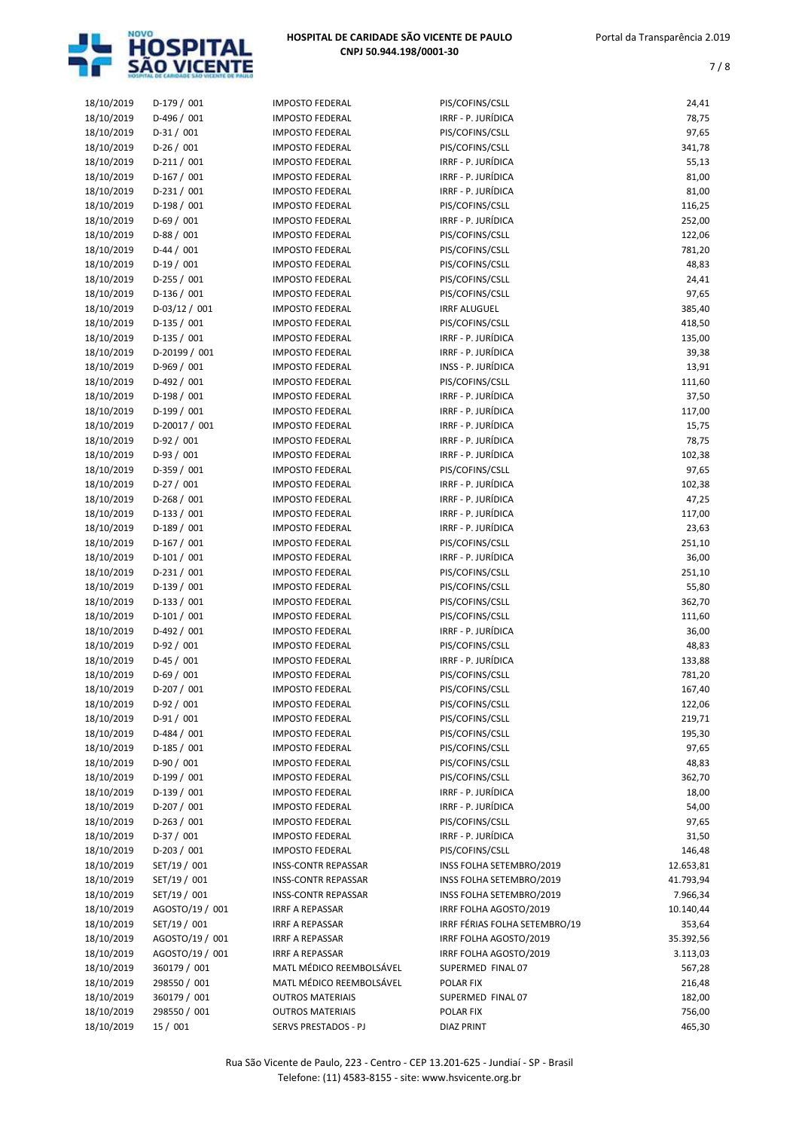

| 18/10/2019 | $D-179/001$     | <b>IMPOSTO FEDERAL</b>     | PIS/COFINS/CSLL               | 24,41     |
|------------|-----------------|----------------------------|-------------------------------|-----------|
| 18/10/2019 | D-496 / 001     | <b>IMPOSTO FEDERAL</b>     | IRRF - P. JURÍDICA            | 78,75     |
| 18/10/2019 | $D-31/001$      | <b>IMPOSTO FEDERAL</b>     | PIS/COFINS/CSLL               | 97,65     |
| 18/10/2019 | $D-26/001$      | <b>IMPOSTO FEDERAL</b>     | PIS/COFINS/CSLL               | 341,78    |
| 18/10/2019 | $D-211/001$     | <b>IMPOSTO FEDERAL</b>     | IRRF - P. JURÍDICA            | 55,13     |
| 18/10/2019 | $D-167/001$     | <b>IMPOSTO FEDERAL</b>     | IRRF - P. JURÍDICA            | 81,00     |
| 18/10/2019 | $D-231/001$     | <b>IMPOSTO FEDERAL</b>     | IRRF - P. JURÍDICA            | 81,00     |
|            |                 |                            |                               |           |
| 18/10/2019 | $D-198/001$     | <b>IMPOSTO FEDERAL</b>     | PIS/COFINS/CSLL               | 116,25    |
| 18/10/2019 | $D-69/001$      | <b>IMPOSTO FEDERAL</b>     | IRRF - P. JURÍDICA            | 252,00    |
| 18/10/2019 | $D-88/001$      | <b>IMPOSTO FEDERAL</b>     | PIS/COFINS/CSLL               | 122,06    |
| 18/10/2019 | $D-44 / 001$    | <b>IMPOSTO FEDERAL</b>     | PIS/COFINS/CSLL               | 781,20    |
| 18/10/2019 | $D-19/001$      | <b>IMPOSTO FEDERAL</b>     | PIS/COFINS/CSLL               | 48,83     |
| 18/10/2019 | D-255 / 001     | <b>IMPOSTO FEDERAL</b>     | PIS/COFINS/CSLL               | 24,41     |
| 18/10/2019 | D-136 / 001     | <b>IMPOSTO FEDERAL</b>     | PIS/COFINS/CSLL               | 97,65     |
| 18/10/2019 | $D-03/12/001$   | <b>IMPOSTO FEDERAL</b>     | <b>IRRF ALUGUEL</b>           | 385,40    |
| 18/10/2019 | D-135 / 001     | <b>IMPOSTO FEDERAL</b>     | PIS/COFINS/CSLL               | 418,50    |
| 18/10/2019 | D-135 / 001     | <b>IMPOSTO FEDERAL</b>     | IRRF - P. JURÍDICA            | 135,00    |
| 18/10/2019 | D-20199 / 001   | <b>IMPOSTO FEDERAL</b>     | IRRF - P. JURÍDICA            | 39,38     |
|            | D-969 / 001     | <b>IMPOSTO FEDERAL</b>     | INSS - P. JURÍDICA            |           |
| 18/10/2019 |                 |                            |                               | 13,91     |
| 18/10/2019 | D-492 / 001     | <b>IMPOSTO FEDERAL</b>     | PIS/COFINS/CSLL               | 111,60    |
| 18/10/2019 | D-198 / 001     | <b>IMPOSTO FEDERAL</b>     | IRRF - P. JURÍDICA            | 37,50     |
| 18/10/2019 | $D-199/001$     | <b>IMPOSTO FEDERAL</b>     | IRRF - P. JURÍDICA            | 117,00    |
| 18/10/2019 | D-20017 / 001   | <b>IMPOSTO FEDERAL</b>     | IRRF - P. JURÍDICA            | 15,75     |
| 18/10/2019 | $D-92/001$      | <b>IMPOSTO FEDERAL</b>     | IRRF - P. JURÍDICA            | 78,75     |
| 18/10/2019 | $D-93/001$      | <b>IMPOSTO FEDERAL</b>     | IRRF - P. JURÍDICA            | 102,38    |
| 18/10/2019 | $D-359/001$     | <b>IMPOSTO FEDERAL</b>     | PIS/COFINS/CSLL               | 97,65     |
| 18/10/2019 | $D-27/001$      | <b>IMPOSTO FEDERAL</b>     | IRRF - P. JURÍDICA            | 102,38    |
| 18/10/2019 | D-268 / 001     | <b>IMPOSTO FEDERAL</b>     | IRRF - P. JURÍDICA            | 47,25     |
| 18/10/2019 | $D-133 / 001$   | <b>IMPOSTO FEDERAL</b>     | IRRF - P. JURÍDICA            | 117,00    |
| 18/10/2019 | $D-189/001$     | <b>IMPOSTO FEDERAL</b>     | IRRF - P. JURÍDICA            | 23,63     |
|            | $D-167/001$     | <b>IMPOSTO FEDERAL</b>     | PIS/COFINS/CSLL               |           |
| 18/10/2019 |                 |                            |                               | 251,10    |
| 18/10/2019 | $D-101/001$     | <b>IMPOSTO FEDERAL</b>     | IRRF - P. JURÍDICA            | 36,00     |
| 18/10/2019 | $D-231/001$     | <b>IMPOSTO FEDERAL</b>     | PIS/COFINS/CSLL               | 251,10    |
| 18/10/2019 | $D-139/001$     | <b>IMPOSTO FEDERAL</b>     | PIS/COFINS/CSLL               | 55,80     |
| 18/10/2019 | $D-133 / 001$   | <b>IMPOSTO FEDERAL</b>     | PIS/COFINS/CSLL               | 362,70    |
| 18/10/2019 | $D-101/001$     | <b>IMPOSTO FEDERAL</b>     | PIS/COFINS/CSLL               | 111,60    |
| 18/10/2019 | D-492 / 001     | <b>IMPOSTO FEDERAL</b>     | IRRF - P. JURÍDICA            | 36,00     |
| 18/10/2019 | $D-92/001$      | <b>IMPOSTO FEDERAL</b>     | PIS/COFINS/CSLL               | 48,83     |
| 18/10/2019 | $D-45/001$      | <b>IMPOSTO FEDERAL</b>     | IRRF - P. JURÍDICA            | 133,88    |
| 18/10/2019 | $D-69/001$      | <b>IMPOSTO FEDERAL</b>     | PIS/COFINS/CSLL               | 781,20    |
| 18/10/2019 | $D-207/001$     | <b>IMPOSTO FEDERAL</b>     | PIS/COFINS/CSLL               | 167,40    |
| 18/10/2019 | $D-92/001$      | <b>IMPOSTO FEDERAL</b>     | PIS/COFINS/CSLL               | 122,06    |
| 18/10/2019 | $D-91/001$      | <b>IMPOSTO FEDERAL</b>     | PIS/COFINS/CSLL               | 219,71    |
|            | D-484 / 001     | <b>IMPOSTO FEDERAL</b>     | PIS/COFINS/CSLL               | 195,30    |
| 18/10/2019 |                 |                            |                               |           |
| 18/10/2019 | D-185 / 001     | <b>IMPOSTO FEDERAL</b>     | PIS/COFINS/CSLL               | 97,65     |
| 18/10/2019 | D-90 / 001      | <b>IMPOSTO FEDERAL</b>     | PIS/COFINS/CSLL               | 48,83     |
| 18/10/2019 | $D-199/001$     | <b>IMPOSTO FEDERAL</b>     | PIS/COFINS/CSLL               | 362,70    |
| 18/10/2019 | D-139 / 001     | <b>IMPOSTO FEDERAL</b>     | IRRF - P. JURÍDICA            | 18,00     |
| 18/10/2019 | $D-207/001$     | <b>IMPOSTO FEDERAL</b>     | IRRF - P. JURÍDICA            | 54,00     |
| 18/10/2019 | $D-263 / 001$   | <b>IMPOSTO FEDERAL</b>     | PIS/COFINS/CSLL               | 97,65     |
| 18/10/2019 | $D-37/001$      | <b>IMPOSTO FEDERAL</b>     | IRRF - P. JURÍDICA            | 31,50     |
| 18/10/2019 | D-203 / 001     | <b>IMPOSTO FEDERAL</b>     | PIS/COFINS/CSLL               | 146,48    |
| 18/10/2019 | SET/19 / 001    | <b>INSS-CONTR REPASSAR</b> | INSS FOLHA SETEMBRO/2019      | 12.653,81 |
| 18/10/2019 | SET/19 / 001    | <b>INSS-CONTR REPASSAR</b> | INSS FOLHA SETEMBRO/2019      | 41.793,94 |
| 18/10/2019 | SET/19 / 001    | <b>INSS-CONTR REPASSAR</b> | INSS FOLHA SETEMBRO/2019      | 7.966,34  |
| 18/10/2019 | AGOSTO/19 / 001 | <b>IRRF A REPASSAR</b>     | IRRF FOLHA AGOSTO/2019        | 10.140,44 |
|            |                 |                            |                               |           |
| 18/10/2019 | SET/19 / 001    | <b>IRRF A REPASSAR</b>     | IRRF FÉRIAS FOLHA SETEMBRO/19 | 353,64    |
| 18/10/2019 | AGOSTO/19 / 001 | <b>IRRF A REPASSAR</b>     | IRRF FOLHA AGOSTO/2019        | 35.392,56 |
| 18/10/2019 | AGOSTO/19 / 001 | <b>IRRF A REPASSAR</b>     | IRRF FOLHA AGOSTO/2019        | 3.113,03  |
| 18/10/2019 | 360179 / 001    | MATL MÉDICO REEMBOLSÁVEL   | SUPERMED FINAL 07             | 567,28    |
| 18/10/2019 | 298550 / 001    | MATL MÉDICO REEMBOLSÁVEL   | POLAR FIX                     | 216,48    |
| 18/10/2019 | 360179 / 001    | <b>OUTROS MATERIAIS</b>    | SUPERMED FINAL 07             | 182,00    |
| 18/10/2019 | 298550 / 001    | <b>OUTROS MATERIAIS</b>    | POLAR FIX                     | 756,00    |
| 18/10/2019 | 15/001          | SERVS PRESTADOS - PJ       | <b>DIAZ PRINT</b>             | 465,30    |